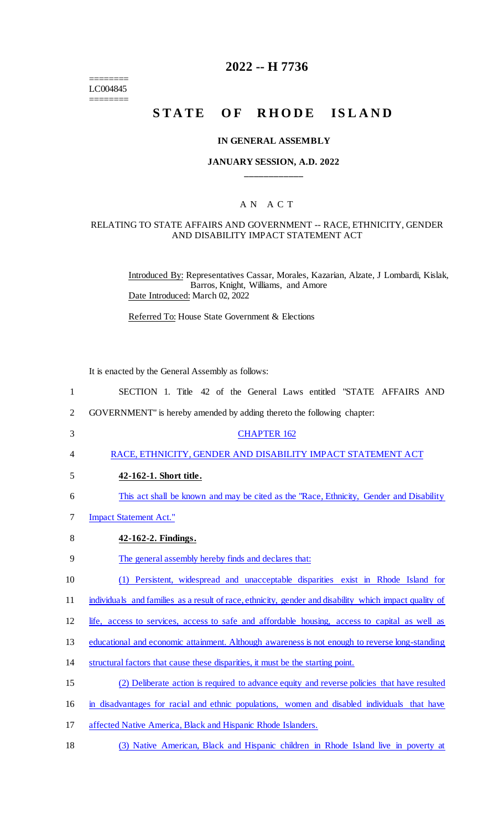======== LC004845 ========

# **2022 -- H 7736**

# STATE OF RHODE ISLAND

#### **IN GENERAL ASSEMBLY**

### **JANUARY SESSION, A.D. 2022 \_\_\_\_\_\_\_\_\_\_\_\_**

### A N A C T

### RELATING TO STATE AFFAIRS AND GOVERNMENT -- RACE, ETHNICITY, GENDER AND DISABILITY IMPACT STATEMENT ACT

Introduced By: Representatives Cassar, Morales, Kazarian, Alzate, J Lombardi, Kislak, Barros, Knight, Williams, and Amore Date Introduced: March 02, 2022

Referred To: House State Government & Elections

It is enacted by the General Assembly as follows:

| SECTION 1. Title 42 of the General Laws entitled "STATE AFFAIRS AND |  |  |
|---------------------------------------------------------------------|--|--|
|---------------------------------------------------------------------|--|--|

- 2 GOVERNMENT" is hereby amended by adding thereto the following chapter:
- 3 CHAPTER 162

4 RACE, ETHNICITY, GENDER AND DISABILITY IMPACT STATEMENT ACT

- 5 **42-162-1. Short title.**
- 6 This act shall be known and may be cited as the "Race, Ethnicity, Gender and Disability
- 7 Impact Statement Act."
- 8 **42-162-2. Findings.**

9 The general assembly hereby finds and declares that:

10 (1) Persistent, widespread and unacceptable disparities exist in Rhode Island for

11 individuals and families as a result of race, ethnicity, gender and disability which impact quality of

12 life, access to services, access to safe and affordable housing, access to capital as well as

13 educational and economic attainment. Although awareness is not enough to reverse long-standing

- 14 structural factors that cause these disparities, it must be the starting point.
- 15 (2) Deliberate action is required to advance equity and reverse policies that have resulted

16 in disadvantages for racial and ethnic populations, women and disabled individuals that have

- 17 affected Native America, Black and Hispanic Rhode Islanders.
- 18 (3) Native American, Black and Hispanic children in Rhode Island live in poverty at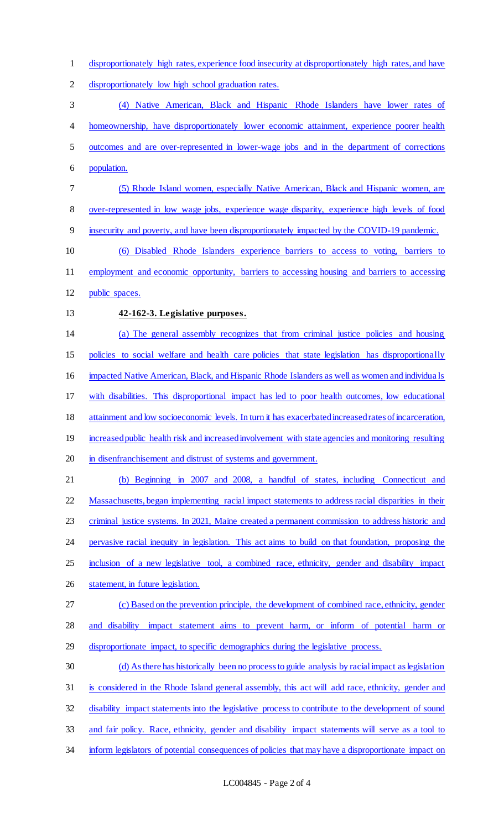disproportionately high rates, experience food insecurity at disproportionately high rates, and have

disproportionately low high school graduation rates.

 (4) Native American, Black and Hispanic Rhode Islanders have lower rates of homeownership, have disproportionately lower economic attainment, experience poorer health outcomes and are over-represented in lower-wage jobs and in the department of corrections population.

 (5) Rhode Island women, especially Native American, Black and Hispanic women, are over-represented in low wage jobs, experience wage disparity, experience high levels of food

insecurity and poverty, and have been disproportionately impacted by the COVID-19 pandemic.

 (6) Disabled Rhode Islanders experience barriers to access to voting, barriers to employment and economic opportunity, barriers to accessing housing and barriers to accessing

public spaces.

### **42-162-3. Legislative purposes.**

(a) The general assembly recognizes that from criminal justice policies and housing

policies to social welfare and health care policies that state legislation has disproportionally

impacted Native American, Black, and Hispanic Rhode Islanders as well as women and individua ls

with disabilities. This disproportional impact has led to poor health outcomes, low educational

attainment and low socioeconomic levels. In turn it has exacerbated increased rates of incarceration,

19 increased public health risk and increased involvement with state agencies and monitoring resulting

20 in disenfranchisement and distrust of systems and government.

 (b) Beginning in 2007 and 2008, a handful of states, including Connecticut and Massachusetts, began implementing racial impact statements to address racial disparities in their 23 criminal justice systems. In 2021, Maine created a permanent commission to address historic and pervasive racial inequity in legislation. This act aims to build on that foundation, proposing the inclusion of a new legislative tool, a combined race, ethnicity, gender and disability impact statement, in future legislation.

(c) Based on the prevention principle, the development of combined race, ethnicity, gender

and disability impact statement aims to prevent harm, or inform of potential harm or

disproportionate impact, to specific demographics during the legislative process.

(d) As there has historically been no process to guide analysis by racial impact as legislation

is considered in the Rhode Island general assembly, this act will add race, ethnicity, gender and

disability impact statements into the legislative process to contribute to the development of sound

and fair policy. Race, ethnicity, gender and disability impact statements will serve as a tool to

34 inform legislators of potential consequences of policies that may have a disproportionate impact on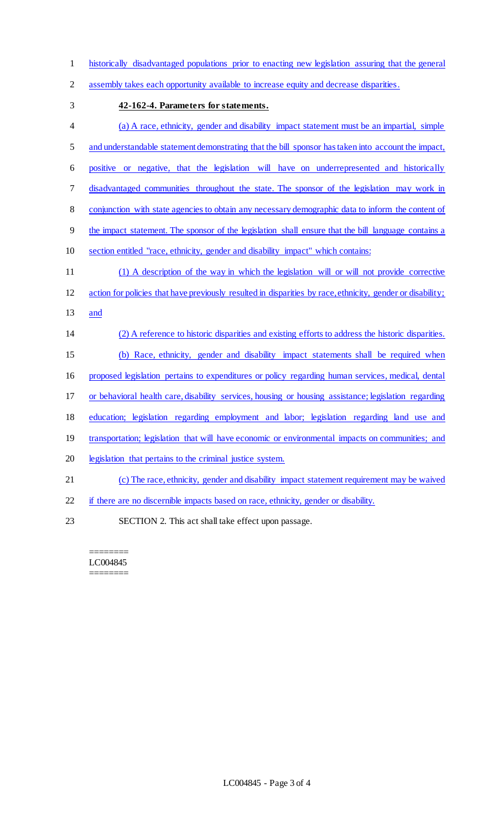historically disadvantaged populations prior to enacting new legislation assuring that the general

- assembly takes each opportunity available to increase equity and decrease disparities.
- 

### **42-162-4. Parameters for statements.**

 (a) A race, ethnicity, gender and disability impact statement must be an impartial, simple and understandable statement demonstrating that the bill sponsor has taken into account the impact, positive or negative, that the legislation will have on underrepresented and historically 7 disadvantaged communities throughout the state. The sponsor of the legislation may work in 8 conjunction with state agencies to obtain any necessary demographic data to inform the content of the impact statement. The sponsor of the legislation shall ensure that the bill language contains a section entitled "race, ethnicity, gender and disability impact" which contains: (1) A description of the way in which the legislation will or will not provide corrective action for policies that have previously resulted in disparities by race, ethnicity, gender or disability; and (2) A reference to historic disparities and existing efforts to address the historic disparities. (b) Race, ethnicity, gender and disability impact statements shall be required when proposed legislation pertains to expenditures or policy regarding human services, medical, dental or behavioral health care, disability services, housing or housing assistance; legislation regarding education; legislation regarding employment and labor; legislation regarding land use and 19 transportation; legislation that will have economic or environmental impacts on communities; and legislation that pertains to the criminal justice system. (c) The race, ethnicity, gender and disability impact statement requirement may be waived if there are no discernible impacts based on race, ethnicity, gender or disability. SECTION 2. This act shall take effect upon passage.

#### ======== LC004845 ========